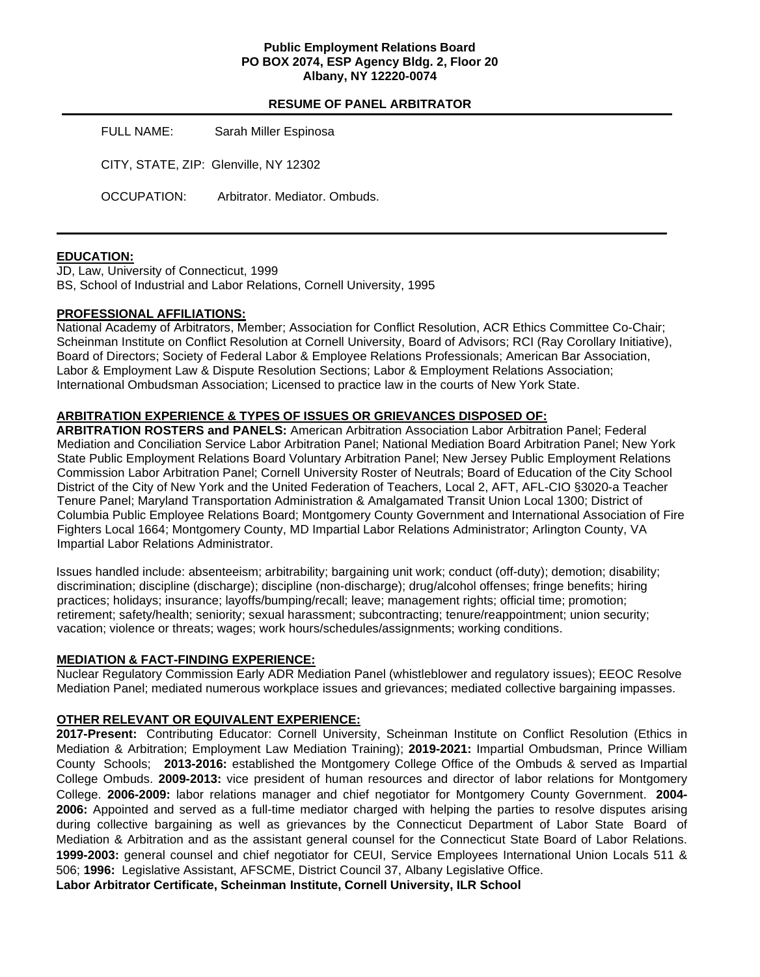### **Public Employment Relations Board PO BOX 2074, ESP Agency Bldg. 2, Floor 20 Albany, NY 12220-0074**

## **RESUME OF PANEL ARBITRATOR**

FULL NAME: Sarah Miller Espinosa CITY, STATE, ZIP: Glenville, NY 12302 OCCUPATION: Arbitrator. Mediator. Ombuds.

### **EDUCATION:**

JD, Law, University of Connecticut, 1999 BS, School of Industrial and Labor Relations, Cornell University, 1995

#### **PROFESSIONAL AFFILIATIONS:**

National Academy of Arbitrators, Member; Association for Conflict Resolution, ACR Ethics Committee Co-Chair; Scheinman Institute on Conflict Resolution at Cornell University, Board of Advisors; RCI (Ray Corollary Initiative), Board of Directors; Society of Federal Labor & Employee Relations Professionals; American Bar Association, Labor & Employment Law & Dispute Resolution Sections; Labor & Employment Relations Association; International Ombudsman Association; Licensed to practice law in the courts of New York State.

#### **ARBITRATION EXPERIENCE & TYPES OF ISSUES OR GRIEVANCES DISPOSED OF:**

**ARBITRATION ROSTERS and PANELS:** American Arbitration Association Labor Arbitration Panel; Federal Mediation and Conciliation Service Labor Arbitration Panel; National Mediation Board Arbitration Panel; New York State Public Employment Relations Board Voluntary Arbitration Panel; New Jersey Public Employment Relations Commission Labor Arbitration Panel; Cornell University Roster of Neutrals; Board of Education of the City School District of the City of New York and the United Federation of Teachers, Local 2, AFT, AFL-CIO §3020-a Teacher Tenure Panel; Maryland Transportation Administration & Amalgamated Transit Union Local 1300; District of Columbia Public Employee Relations Board; Montgomery County Government and International Association of Fire Fighters Local 1664; Montgomery County, MD Impartial Labor Relations Administrator; Arlington County, VA Impartial Labor Relations Administrator.

Issues handled include: absenteeism; arbitrability; bargaining unit work; conduct (off-duty); demotion; disability; discrimination; discipline (discharge); discipline (non-discharge); drug/alcohol offenses; fringe benefits; hiring practices; holidays; insurance; layoffs/bumping/recall; leave; management rights; official time; promotion; retirement; safety/health; seniority; sexual harassment; subcontracting; tenure/reappointment; union security; vacation; violence or threats; wages; work hours/schedules/assignments; working conditions.

#### **MEDIATION & FACT-FINDING EXPERIENCE:**

Nuclear Regulatory Commission Early ADR Mediation Panel (whistleblower and regulatory issues); EEOC Resolve Mediation Panel; mediated numerous workplace issues and grievances; mediated collective bargaining impasses.

## **OTHER RELEVANT OR EQUIVALENT EXPERIENCE:**

**2017-Present:** Contributing Educator: Cornell University, Scheinman Institute on Conflict Resolution (Ethics in Mediation & Arbitration; Employment Law Mediation Training); **2019-2021:** Impartial Ombudsman, Prince William County Schools; **2013-2016:** established the Montgomery College Office of the Ombuds & served as Impartial College Ombuds. **2009-2013:** vice president of human resources and director of labor relations for Montgomery College. **2006-2009:** labor relations manager and chief negotiator for Montgomery County Government. **2004- 2006:** Appointed and served as a full-time mediator charged with helping the parties to resolve disputes arising during collective bargaining as well as grievances by the Connecticut Department of Labor State Board of Mediation & Arbitration and as the assistant general counsel for the Connecticut State Board of Labor Relations. **1999-2003:** general counsel and chief negotiator for CEUI, Service Employees International Union Locals 511 & 506; **1996:** Legislative Assistant, AFSCME, District Council 37, Albany Legislative Office.

**Labor Arbitrator Certificate, Scheinman Institute, Cornell University, ILR School**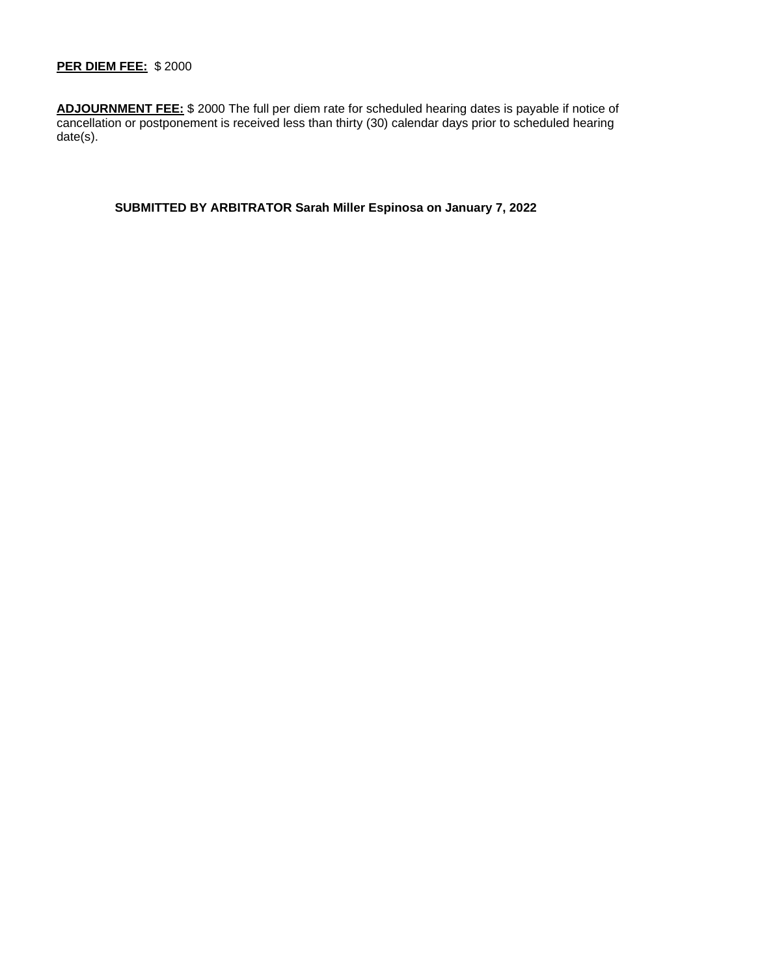# **PER DIEM FEE:** \$ 2000

**ADJOURNMENT FEE:** \$ 2000 The full per diem rate for scheduled hearing dates is payable if notice of cancellation or postponement is received less than thirty (30) calendar days prior to scheduled hearing date(s).

**SUBMITTED BY ARBITRATOR Sarah Miller Espinosa on January 7, 2022**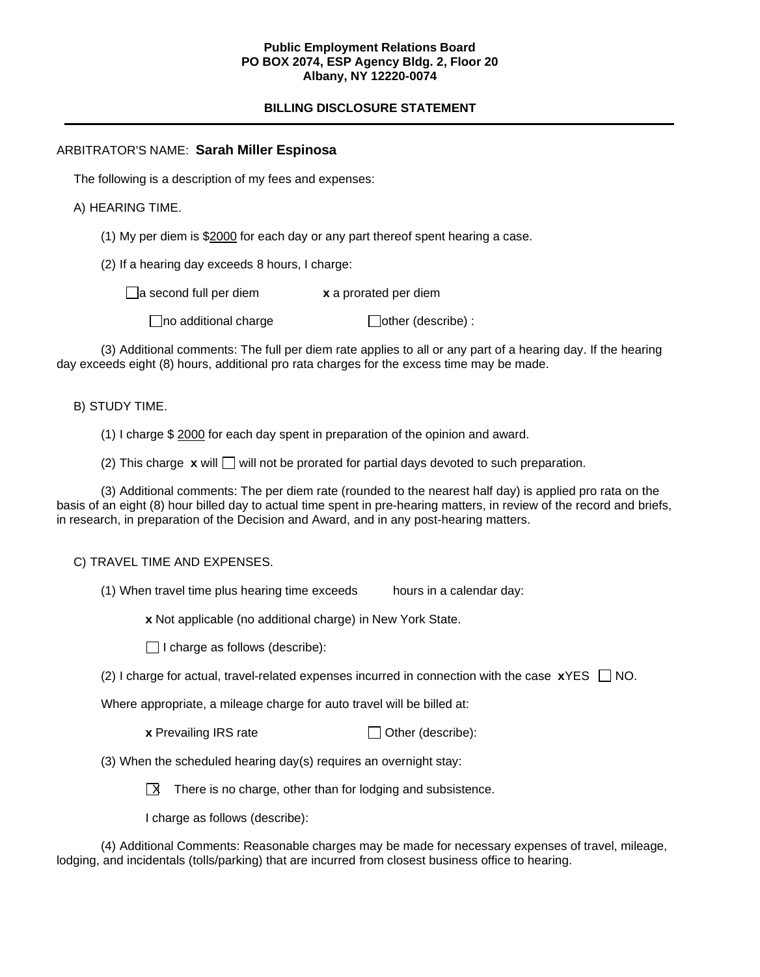## **Public Employment Relations Board PO BOX 2074, ESP Agency Bldg. 2, Floor 20 Albany, NY 12220-0074**

# **BILLING DISCLOSURE STATEMENT**

## ARBITRATOR'S NAME: **Sarah Miller Espinosa**

The following is a description of my fees and expenses:

A) HEARING TIME.

(1) My per diem is \$2000 for each day or any part thereof spent hearing a case.

(2) If a hearing day exceeds 8 hours, I charge:

a second full per diem **x** a prorated per diem

 $\Box$ no additional charge  $\Box$ other (describe) :

(3) Additional comments: The full per diem rate applies to all or any part of a hearing day. If the hearing day exceeds eight (8) hours, additional pro rata charges for the excess time may be made.

B) STUDY TIME.

(1) I charge \$ 2000 for each day spent in preparation of the opinion and award.

(2) This charge  $\boldsymbol{\mathrm{x}}$  will  $\Box$  will not be prorated for partial days devoted to such preparation.

(3) Additional comments: The per diem rate (rounded to the nearest half day) is applied pro rata on the basis of an eight (8) hour billed day to actual time spent in pre-hearing matters, in review of the record and briefs, in research, in preparation of the Decision and Award, and in any post-hearing matters.

C) TRAVEL TIME AND EXPENSES.

(1) When travel time plus hearing time exceeds hours in a calendar day:

**x** Not applicable (no additional charge) in New York State.

 $\Box$  I charge as follows (describe):

(2) I charge for actual, travel-related expenses incurred in connection with the case  $\boldsymbol{x}$ YES  $\Box$  NO.

Where appropriate, a mileage charge for auto travel will be billed at:

**x** Prevailing IRS rate  $\Box$  Other (describe):

(3) When the scheduled hearing day(s) requires an overnight stay:

 $\overline{X}$  There is no charge, other than for lodging and subsistence.

I charge as follows (describe):

(4) Additional Comments: Reasonable charges may be made for necessary expenses of travel, mileage, lodging, and incidentals (tolls/parking) that are incurred from closest business office to hearing.